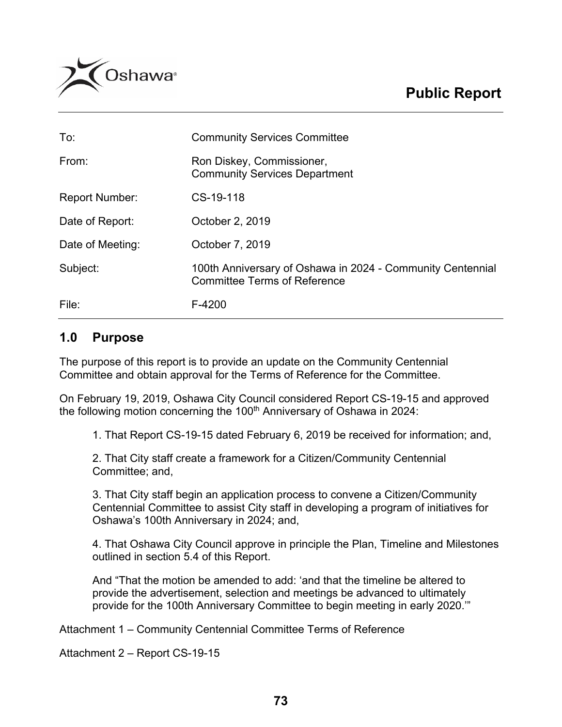

| To:                   | <b>Community Services Committee</b>                                                               |
|-----------------------|---------------------------------------------------------------------------------------------------|
| From:                 | Ron Diskey, Commissioner,<br><b>Community Services Department</b>                                 |
| <b>Report Number:</b> | CS-19-118                                                                                         |
| Date of Report:       | October 2, 2019                                                                                   |
| Date of Meeting:      | October 7, 2019                                                                                   |
| Subject:              | 100th Anniversary of Oshawa in 2024 - Community Centennial<br><b>Committee Terms of Reference</b> |
| File:                 | F-4200                                                                                            |

## **1.0 Purpose**

The purpose of this report is to provide an update on the Community Centennial Committee and obtain approval for the Terms of Reference for the Committee.

On February 19, 2019, Oshawa City Council considered Report CS-19-15 and approved the following motion concerning the 100<sup>th</sup> Anniversary of Oshawa in 2024:

1. That Report CS-19-15 dated February 6, 2019 be received for information; and,

2. That City staff create a framework for a Citizen/Community Centennial Committee; and,

3. That City staff begin an application process to convene a Citizen/Community Centennial Committee to assist City staff in developing a program of initiatives for Oshawa's 100th Anniversary in 2024; and,

4. That Oshawa City Council approve in principle the Plan, Timeline and Milestones outlined in section 5.4 of this Report.

And "That the motion be amended to add: 'and that the timeline be altered to provide the advertisement, selection and meetings be advanced to ultimately provide for the 100th Anniversary Committee to begin meeting in early 2020.'"

Attachment 1 – Community Centennial Committee Terms of Reference

Attachment 2 – Report CS-19-15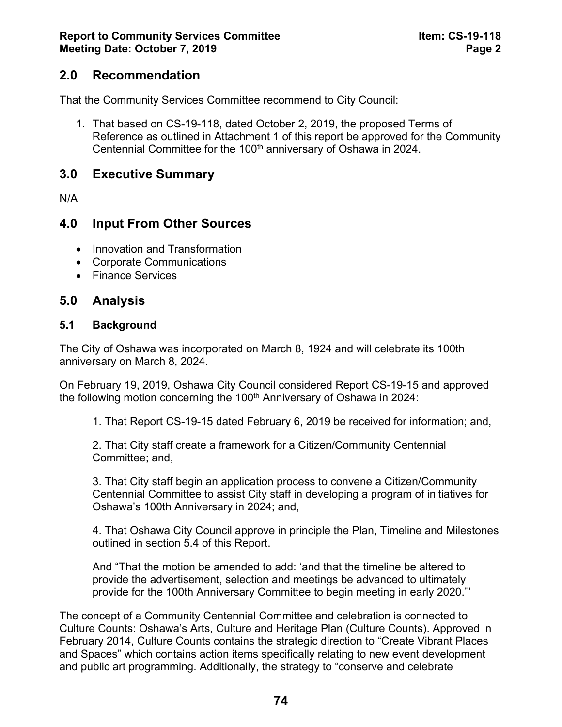# **2.0 Recommendation**

That the Community Services Committee recommend to City Council:

1. That based on CS-19-118, dated October 2, 2019, the proposed Terms of Reference as outlined in Attachment 1 of this report be approved for the Community Centennial Committee for the 100<sup>th</sup> anniversary of Oshawa in 2024.

## **3.0 Executive Summary**

N/A

## **4.0 Input From Other Sources**

- Innovation and Transformation
- Corporate Communications
- Finance Services

## **5.0 Analysis**

#### **5.1 Background**

The City of Oshawa was incorporated on March 8, 1924 and will celebrate its 100th anniversary on March 8, 2024.

On February 19, 2019, Oshawa City Council considered Report CS-19-15 and approved the following motion concerning the  $100<sup>th</sup>$  Anniversary of Oshawa in 2024:

1. That Report CS-19-15 dated February 6, 2019 be received for information; and,

2. That City staff create a framework for a Citizen/Community Centennial Committee; and,

3. That City staff begin an application process to convene a Citizen/Community Centennial Committee to assist City staff in developing a program of initiatives for Oshawa's 100th Anniversary in 2024; and,

4. That Oshawa City Council approve in principle the Plan, Timeline and Milestones outlined in section 5.4 of this Report.

And "That the motion be amended to add: 'and that the timeline be altered to provide the advertisement, selection and meetings be advanced to ultimately provide for the 100th Anniversary Committee to begin meeting in early 2020.'"

The concept of a Community Centennial Committee and celebration is connected to Culture Counts: Oshawa's Arts, Culture and Heritage Plan (Culture Counts). Approved in February 2014, Culture Counts contains the strategic direction to "Create Vibrant Places and Spaces" which contains action items specifically relating to new event development and public art programming. Additionally, the strategy to "conserve and celebrate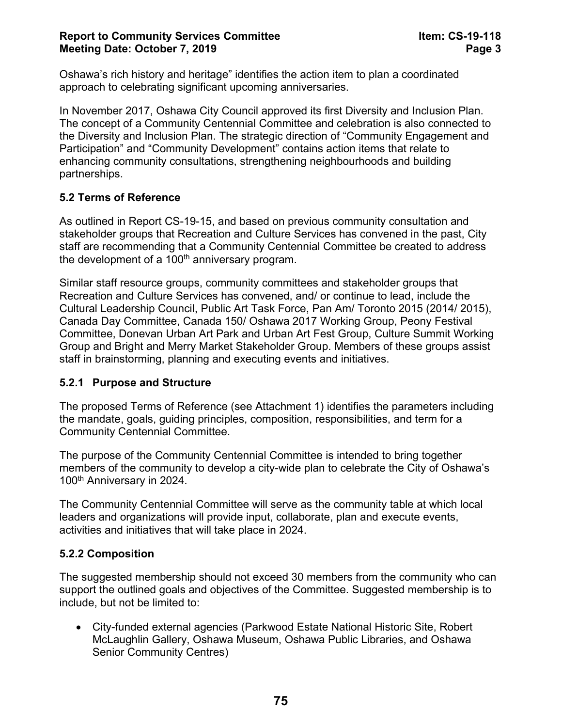Oshawa's rich history and heritage" identifies the action item to plan a coordinated approach to celebrating significant upcoming anniversaries.

In November 2017, Oshawa City Council approved its first Diversity and Inclusion Plan. The concept of a Community Centennial Committee and celebration is also connected to the Diversity and Inclusion Plan. The strategic direction of "Community Engagement and Participation" and "Community Development" contains action items that relate to enhancing community consultations, strengthening neighbourhoods and building partnerships.

## **5.2 Terms of Reference**

As outlined in Report CS-19-15, and based on previous community consultation and stakeholder groups that Recreation and Culture Services has convened in the past, City staff are recommending that a Community Centennial Committee be created to address the development of a 100<sup>th</sup> anniversary program.

Similar staff resource groups, community committees and stakeholder groups that Recreation and Culture Services has convened, and/ or continue to lead, include the Cultural Leadership Council, Public Art Task Force, Pan Am/ Toronto 2015 (2014/ 2015), Canada Day Committee, Canada 150/ Oshawa 2017 Working Group, Peony Festival Committee, Donevan Urban Art Park and Urban Art Fest Group, Culture Summit Working Group and Bright and Merry Market Stakeholder Group. Members of these groups assist staff in brainstorming, planning and executing events and initiatives.

#### **5.2.1 Purpose and Structure**

The proposed Terms of Reference (see Attachment 1) identifies the parameters including the mandate, goals, guiding principles, composition, responsibilities, and term for a Community Centennial Committee.

The purpose of the Community Centennial Committee is intended to bring together members of the community to develop a city-wide plan to celebrate the City of Oshawa's 100th Anniversary in 2024.

The Community Centennial Committee will serve as the community table at which local leaders and organizations will provide input, collaborate, plan and execute events, activities and initiatives that will take place in 2024.

#### **5.2.2 Composition**

The suggested membership should not exceed 30 members from the community who can support the outlined goals and objectives of the Committee. Suggested membership is to include, but not be limited to:

• City-funded external agencies (Parkwood Estate National Historic Site, Robert McLaughlin Gallery, Oshawa Museum, Oshawa Public Libraries, and Oshawa Senior Community Centres)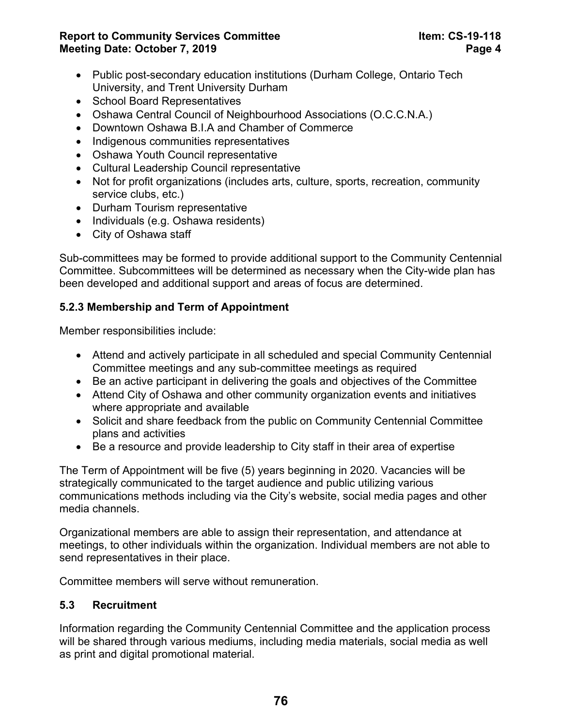**Report to Community Services Committee Item: CS-19-118 Meeting Date: October 7, 2019 Page 4** 

- Public post-secondary education institutions (Durham College, Ontario Tech University, and Trent University Durham
- School Board Representatives
- Oshawa Central Council of Neighbourhood Associations (O.C.C.N.A.)
- Downtown Oshawa B.I.A and Chamber of Commerce
- Indigenous communities representatives
- Oshawa Youth Council representative
- Cultural Leadership Council representative
- Not for profit organizations (includes arts, culture, sports, recreation, community service clubs, etc.)
- Durham Tourism representative
- Individuals (e.g. Oshawa residents)
- City of Oshawa staff

Sub-committees may be formed to provide additional support to the Community Centennial Committee. Subcommittees will be determined as necessary when the City-wide plan has been developed and additional support and areas of focus are determined.

## **5.2.3 Membership and Term of Appointment**

Member responsibilities include:

- Attend and actively participate in all scheduled and special Community Centennial Committee meetings and any sub-committee meetings as required
- Be an active participant in delivering the goals and objectives of the Committee
- Attend City of Oshawa and other community organization events and initiatives where appropriate and available
- Solicit and share feedback from the public on Community Centennial Committee plans and activities
- Be a resource and provide leadership to City staff in their area of expertise

The Term of Appointment will be five (5) years beginning in 2020. Vacancies will be strategically communicated to the target audience and public utilizing various communications methods including via the City's website, social media pages and other media channels.

Organizational members are able to assign their representation, and attendance at meetings, to other individuals within the organization. Individual members are not able to send representatives in their place.

Committee members will serve without remuneration.

## **5.3 Recruitment**

Information regarding the Community Centennial Committee and the application process will be shared through various mediums, including media materials, social media as well as print and digital promotional material.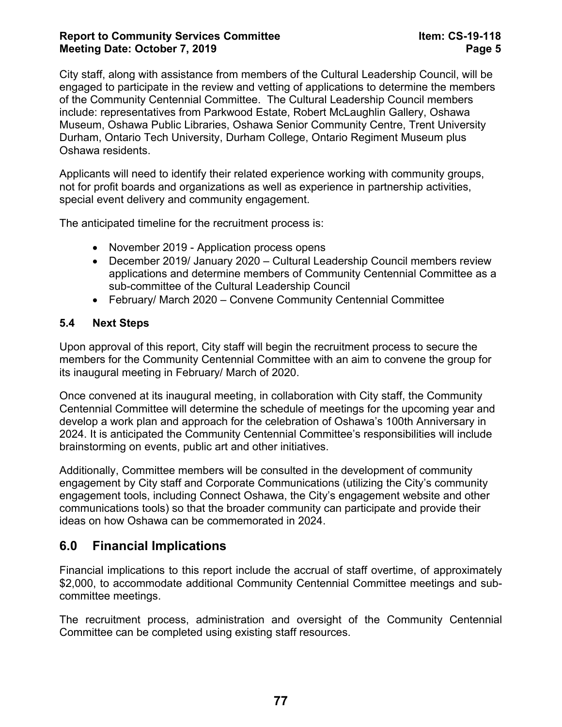#### **Report to Community Services Committee Item: CS-19-118 Meeting Date: October 7, 2019 Page 5**

City staff, along with assistance from members of the Cultural Leadership Council, will be engaged to participate in the review and vetting of applications to determine the members of the Community Centennial Committee. The Cultural Leadership Council members include: representatives from Parkwood Estate, Robert McLaughlin Gallery, Oshawa Museum, Oshawa Public Libraries, Oshawa Senior Community Centre, Trent University Durham, Ontario Tech University, Durham College, Ontario Regiment Museum plus Oshawa residents.

Applicants will need to identify their related experience working with community groups, not for profit boards and organizations as well as experience in partnership activities, special event delivery and community engagement.

The anticipated timeline for the recruitment process is:

- November 2019 Application process opens
- December 2019/ January 2020 Cultural Leadership Council members review applications and determine members of Community Centennial Committee as a sub-committee of the Cultural Leadership Council
- February/ March 2020 Convene Community Centennial Committee

#### **5.4 Next Steps**

Upon approval of this report, City staff will begin the recruitment process to secure the members for the Community Centennial Committee with an aim to convene the group for its inaugural meeting in February/ March of 2020.

Once convened at its inaugural meeting, in collaboration with City staff, the Community Centennial Committee will determine the schedule of meetings for the upcoming year and develop a work plan and approach for the celebration of Oshawa's 100th Anniversary in 2024. It is anticipated the Community Centennial Committee's responsibilities will include brainstorming on events, public art and other initiatives.

Additionally, Committee members will be consulted in the development of community engagement by City staff and Corporate Communications (utilizing the City's community engagement tools, including Connect Oshawa, the City's engagement website and other communications tools) so that the broader community can participate and provide their ideas on how Oshawa can be commemorated in 2024.

# **6.0 Financial Implications**

Financial implications to this report include the accrual of staff overtime, of approximately \$2,000, to accommodate additional Community Centennial Committee meetings and subcommittee meetings.

The recruitment process, administration and oversight of the Community Centennial Committee can be completed using existing staff resources.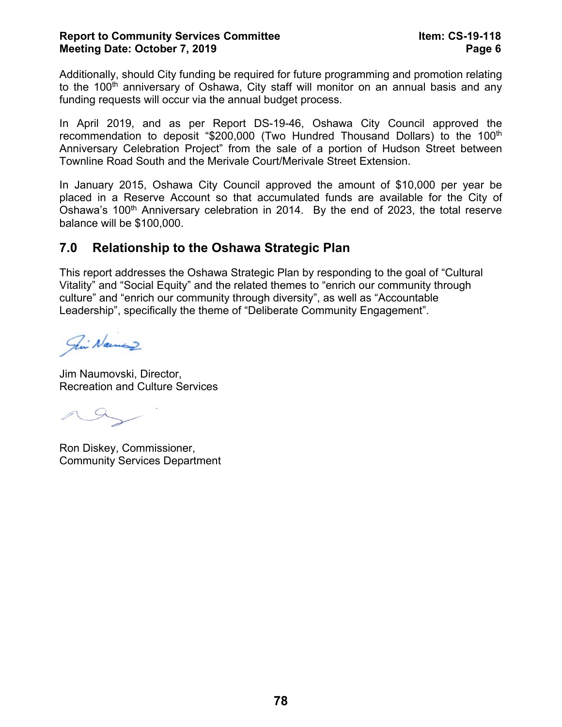#### **Report to Community Services Committee Item: CS-19-118 Meeting Date: October 7, 2019 Page 6**

Additionally, should City funding be required for future programming and promotion relating to the 100<sup>th</sup> anniversary of Oshawa, City staff will monitor on an annual basis and any funding requests will occur via the annual budget process.

In April 2019, and as per Report DS-19-46, Oshawa City Council approved the recommendation to deposit "\$200,000 (Two Hundred Thousand Dollars) to the 100<sup>th</sup> Anniversary Celebration Project" from the sale of a portion of Hudson Street between Townline Road South and the Merivale Court/Merivale Street Extension.

In January 2015, Oshawa City Council approved the amount of \$10,000 per year be placed in a Reserve Account so that accumulated funds are available for the City of Oshawa's 100<sup>th</sup> Anniversary celebration in 2014. By the end of 2023, the total reserve balance will be \$100,000.

# **7.0 Relationship to the Oshawa Strategic Plan**

This report addresses the Oshawa Strategic Plan by responding to the goal of "Cultural Vitality" and "Social Equity" and the related themes to "enrich our community through culture" and "enrich our community through diversity", as well as "Accountable Leadership", specifically the theme of "Deliberate Community Engagement".

Fin Namaz

Jim Naumovski, Director, Recreation and Culture Services

 $\curvearrowleft$ 

Ron Diskey, Commissioner, Community Services Department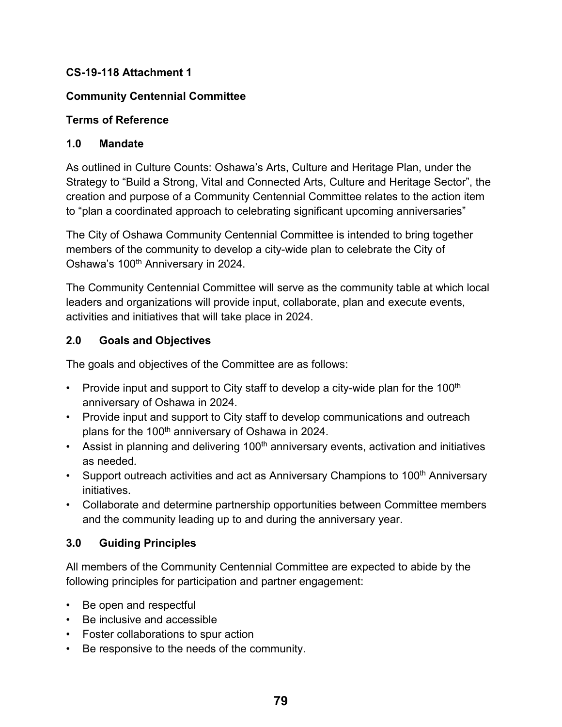## **CS-19-118 Attachment 1**

## **Community Centennial Committee**

## **Terms of Reference**

## **1.0 Mandate**

As outlined in Culture Counts: Oshawa's Arts, Culture and Heritage Plan, under the Strategy to "Build a Strong, Vital and Connected Arts, Culture and Heritage Sector", the creation and purpose of a Community Centennial Committee relates to the action item to "plan a coordinated approach to celebrating significant upcoming anniversaries"

The City of Oshawa Community Centennial Committee is intended to bring together members of the community to develop a city-wide plan to celebrate the City of Oshawa's 100<sup>th</sup> Anniversary in 2024.

The Community Centennial Committee will serve as the community table at which local leaders and organizations will provide input, collaborate, plan and execute events, activities and initiatives that will take place in 2024.

## **2.0 Goals and Objectives**

The goals and objectives of the Committee are as follows:

- Provide input and support to City staff to develop a city-wide plan for the 100<sup>th</sup> anniversary of Oshawa in 2024.
- Provide input and support to City staff to develop communications and outreach plans for the 100<sup>th</sup> anniversary of Oshawa in 2024.
- Assist in planning and delivering  $100<sup>th</sup>$  anniversary events, activation and initiatives as needed*.*
- Support outreach activities and act as Anniversary Champions to 100<sup>th</sup> Anniversary initiatives.
- Collaborate and determine partnership opportunities between Committee members and the community leading up to and during the anniversary year.

## **3.0 Guiding Principles**

All members of the Community Centennial Committee are expected to abide by the following principles for participation and partner engagement:

- Be open and respectful
- Be inclusive and accessible
- Foster collaborations to spur action
- Be responsive to the needs of the community.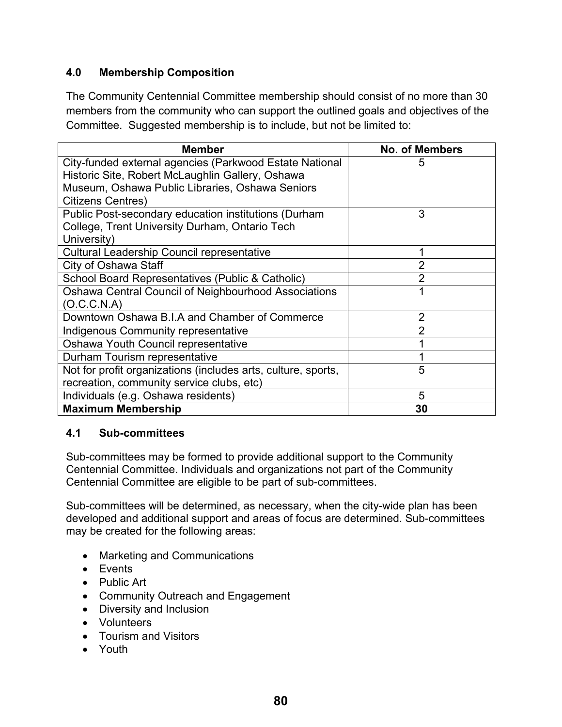## **4.0 Membership Composition**

The Community Centennial Committee membership should consist of no more than 30 members from the community who can support the outlined goals and objectives of the Committee. Suggested membership is to include, but not be limited to:

| <b>Member</b>                                                 | <b>No. of Members</b> |
|---------------------------------------------------------------|-----------------------|
| City-funded external agencies (Parkwood Estate National       | 5                     |
| Historic Site, Robert McLaughlin Gallery, Oshawa              |                       |
| Museum, Oshawa Public Libraries, Oshawa Seniors               |                       |
| <b>Citizens Centres)</b>                                      |                       |
| Public Post-secondary education institutions (Durham          | 3                     |
| College, Trent University Durham, Ontario Tech                |                       |
| University)                                                   |                       |
| <b>Cultural Leadership Council representative</b>             |                       |
| City of Oshawa Staff                                          |                       |
| School Board Representatives (Public & Catholic)              | 2                     |
| Oshawa Central Council of Neighbourhood Associations          |                       |
| (O.C.C.N.A)                                                   |                       |
| Downtown Oshawa B.I.A and Chamber of Commerce                 | 2                     |
| Indigenous Community representative                           |                       |
| Oshawa Youth Council representative                           |                       |
| Durham Tourism representative                                 |                       |
| Not for profit organizations (includes arts, culture, sports, | 5                     |
| recreation, community service clubs, etc)                     |                       |
| Individuals (e.g. Oshawa residents)                           | 5                     |
| <b>Maximum Membership</b>                                     | 30                    |

#### **4.1 Sub-committees**

Sub-committees may be formed to provide additional support to the Community Centennial Committee. Individuals and organizations not part of the Community Centennial Committee are eligible to be part of sub-committees.

Sub-committees will be determined, as necessary, when the city-wide plan has been developed and additional support and areas of focus are determined. Sub-committees may be created for the following areas:

- Marketing and Communications
- Events
- Public Art
- Community Outreach and Engagement
- Diversity and Inclusion
- Volunteers
- Tourism and Visitors
- Youth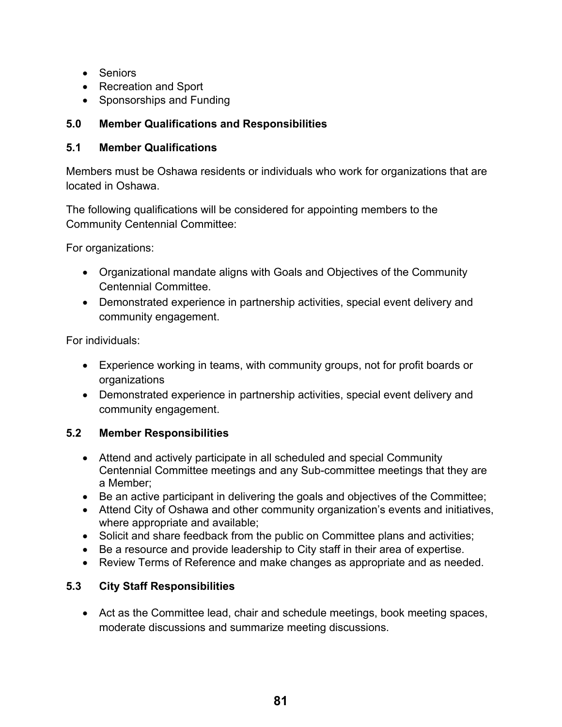- Seniors
- Recreation and Sport
- Sponsorships and Funding

## **5.0 Member Qualifications and Responsibilities**

#### **5.1 Member Qualifications**

Members must be Oshawa residents or individuals who work for organizations that are located in Oshawa.

The following qualifications will be considered for appointing members to the Community Centennial Committee:

For organizations:

- Organizational mandate aligns with Goals and Objectives of the Community Centennial Committee.
- Demonstrated experience in partnership activities, special event delivery and community engagement.

For individuals:

- Experience working in teams, with community groups, not for profit boards or organizations
- Demonstrated experience in partnership activities, special event delivery and community engagement.

## **5.2 Member Responsibilities**

- Attend and actively participate in all scheduled and special Community Centennial Committee meetings and any Sub-committee meetings that they are a Member;
- Be an active participant in delivering the goals and objectives of the Committee;
- Attend City of Oshawa and other community organization's events and initiatives, where appropriate and available;
- Solicit and share feedback from the public on Committee plans and activities;
- Be a resource and provide leadership to City staff in their area of expertise.
- Review Terms of Reference and make changes as appropriate and as needed.

## **5.3 City Staff Responsibilities**

• Act as the Committee lead, chair and schedule meetings, book meeting spaces, moderate discussions and summarize meeting discussions.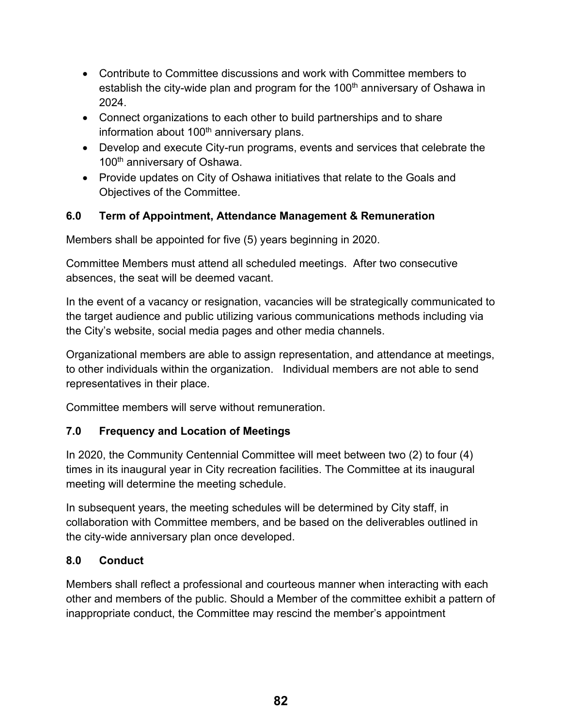- Contribute to Committee discussions and work with Committee members to establish the city-wide plan and program for the  $100<sup>th</sup>$  anniversary of Oshawa in 2024.
- Connect organizations to each other to build partnerships and to share information about 100<sup>th</sup> anniversary plans.
- Develop and execute City-run programs, events and services that celebrate the 100<sup>th</sup> anniversary of Oshawa.
- Provide updates on City of Oshawa initiatives that relate to the Goals and Objectives of the Committee.

## **6.0 Term of Appointment, Attendance Management & Remuneration**

Members shall be appointed for five (5) years beginning in 2020.

Committee Members must attend all scheduled meetings. After two consecutive absences, the seat will be deemed vacant.

In the event of a vacancy or resignation, vacancies will be strategically communicated to the target audience and public utilizing various communications methods including via the City's website, social media pages and other media channels.

Organizational members are able to assign representation, and attendance at meetings, to other individuals within the organization. Individual members are not able to send representatives in their place.

Committee members will serve without remuneration.

#### **7.0 Frequency and Location of Meetings**

In 2020, the Community Centennial Committee will meet between two (2) to four (4) times in its inaugural year in City recreation facilities. The Committee at its inaugural meeting will determine the meeting schedule.

In subsequent years, the meeting schedules will be determined by City staff, in collaboration with Committee members, and be based on the deliverables outlined in the city-wide anniversary plan once developed.

#### **8.0 Conduct**

Members shall reflect a professional and courteous manner when interacting with each other and members of the public. Should a Member of the committee exhibit a pattern of inappropriate conduct, the Committee may rescind the member's appointment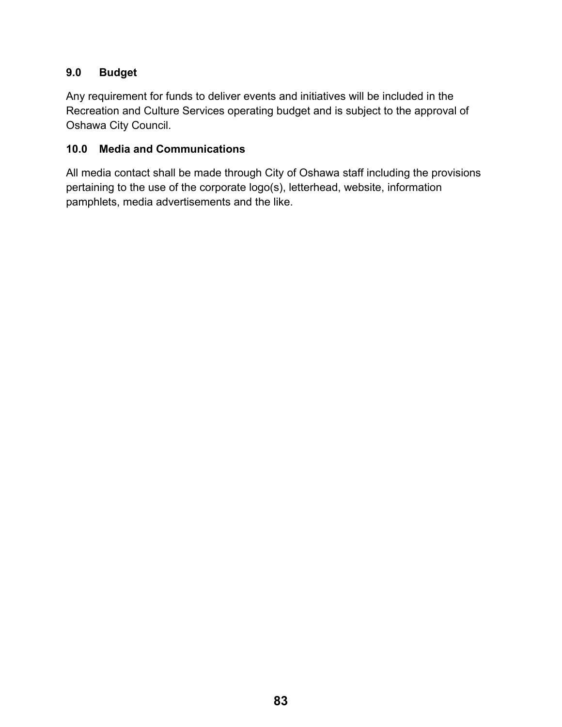## **9.0 Budget**

Any requirement for funds to deliver events and initiatives will be included in the Recreation and Culture Services operating budget and is subject to the approval of Oshawa City Council.

#### **10.0 Media and Communications**

All media contact shall be made through City of Oshawa staff including the provisions pertaining to the use of the corporate logo(s), letterhead, website, information pamphlets, media advertisements and the like.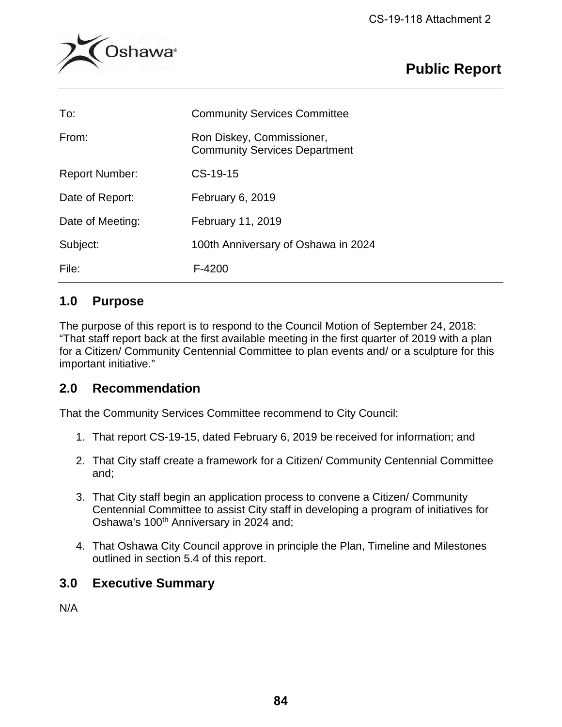

# **Public Report**

| To:                   | <b>Community Services Committee</b>                               |
|-----------------------|-------------------------------------------------------------------|
| From:                 | Ron Diskey, Commissioner,<br><b>Community Services Department</b> |
| <b>Report Number:</b> | CS-19-15                                                          |
| Date of Report:       | February 6, 2019                                                  |
| Date of Meeting:      | February 11, 2019                                                 |
| Subject:              | 100th Anniversary of Oshawa in 2024                               |
| File:                 | F-4200                                                            |

# **1.0 Purpose**

The purpose of this report is to respond to the Council Motion of September 24, 2018: "That staff report back at the first available meeting in the first quarter of 2019 with a plan for a Citizen/ Community Centennial Committee to plan events and/ or a sculpture for this important initiative."

# **2.0 Recommendation**

That the Community Services Committee recommend to City Council:

- 1. That report CS-19-15, dated February 6, 2019 be received for information; and
- 2. That City staff create a framework for a Citizen/ Community Centennial Committee and;
- 3. That City staff begin an application process to convene a Citizen/ Community Centennial Committee to assist City staff in developing a program of initiatives for Oshawa's 100<sup>th</sup> Anniversary in 2024 and;
- 4. That Oshawa City Council approve in principle the Plan, Timeline and Milestones outlined in section 5.4 of this report.

# **3.0 Executive Summary**

N/A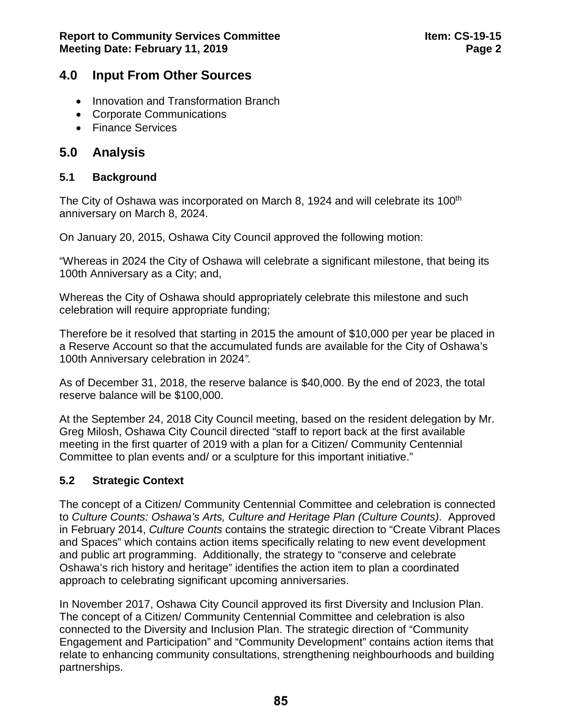## **4.0 Input From Other Sources**

- Innovation and Transformation Branch
- Corporate Communications
- Finance Services

# **5.0 Analysis**

#### **5.1 Background**

The City of Oshawa was incorporated on March 8, 1924 and will celebrate its 100<sup>th</sup> anniversary on March 8, 2024.

On January 20, 2015, Oshawa City Council approved the following motion:

"Whereas in 2024 the City of Oshawa will celebrate a significant milestone, that being its 100th Anniversary as a City; and,

Whereas the City of Oshawa should appropriately celebrate this milestone and such celebration will require appropriate funding;

Therefore be it resolved that starting in 2015 the amount of \$10,000 per year be placed in a Reserve Account so that the accumulated funds are available for the City of Oshawa's 100th Anniversary celebration in 2024*".*

As of December 31, 2018, the reserve balance is \$40,000. By the end of 2023, the total reserve balance will be \$100,000.

At the September 24, 2018 City Council meeting, based on the resident delegation by Mr. Greg Milosh, Oshawa City Council directed "staff to report back at the first available meeting in the first quarter of 2019 with a plan for a Citizen/ Community Centennial Committee to plan events and/ or a sculpture for this important initiative."

## **5.2 Strategic Context**

The concept of a Citizen/ Community Centennial Committee and celebration is connected to *Culture Counts: Oshawa's Arts, Culture and Heritage Plan (Culture Counts)*. Approved in February 2014, *Culture Counts* contains the strategic direction to "Create Vibrant Places and Spaces" which contains action items specifically relating to new event development and public art programming. Additionally, the strategy to "conserve and celebrate Oshawa's rich history and heritage" identifies the action item to plan a coordinated approach to celebrating significant upcoming anniversaries.

In November 2017, Oshawa City Council approved its first Diversity and Inclusion Plan. The concept of a Citizen/ Community Centennial Committee and celebration is also connected to the Diversity and Inclusion Plan. The strategic direction of "Community Engagement and Participation" and "Community Development" contains action items that relate to enhancing community consultations, strengthening neighbourhoods and building partnerships.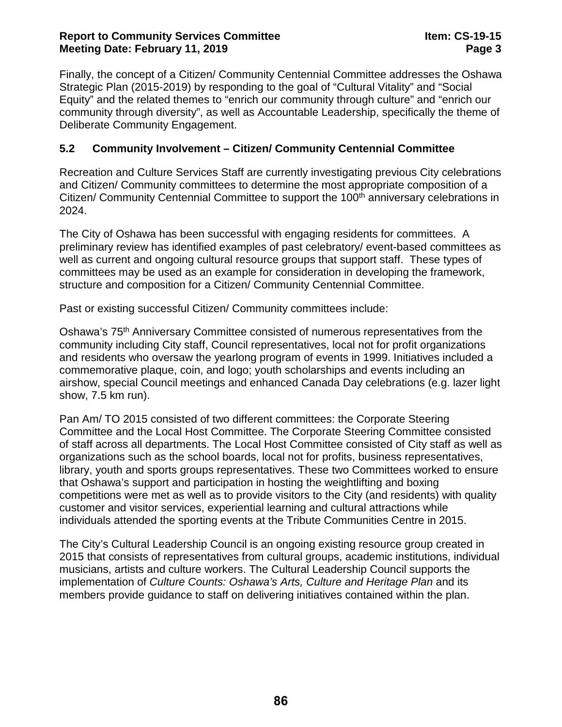#### **Report to Community Services Committee Item: CS-19-15 Meeting Date: February 11, 2019 Page 3**

Finally, the concept of a Citizen/ Community Centennial Committee addresses the Oshawa Strategic Plan (2015-2019) by responding to the goal of "Cultural Vitality" and "Social Equity" and the related themes to "enrich our community through culture" and "enrich our community through diversity", as well as Accountable Leadership, specifically the theme of Deliberate Community Engagement.

#### **5.2 Community Involvement – Citizen/ Community Centennial Committee**

Recreation and Culture Services Staff are currently investigating previous City celebrations and Citizen/ Community committees to determine the most appropriate composition of a Citizen/ Community Centennial Committee to support the 100<sup>th</sup> anniversary celebrations in 2024.

The City of Oshawa has been successful with engaging residents for committees. A preliminary review has identified examples of past celebratory/ event-based committees as well as current and ongoing cultural resource groups that support staff. These types of committees may be used as an example for consideration in developing the framework, structure and composition for a Citizen/ Community Centennial Committee.

Past or existing successful Citizen/ Community committees include:

Oshawa's 75th Anniversary Committee consisted of numerous representatives from the community including City staff, Council representatives, local not for profit organizations and residents who oversaw the yearlong program of events in 1999. Initiatives included a commemorative plaque, coin, and logo; youth scholarships and events including an airshow, special Council meetings and enhanced Canada Day celebrations (e.g. lazer light show, 7.5 km run).

Pan Am/ TO 2015 consisted of two different committees: the Corporate Steering Committee and the Local Host Committee. The Corporate Steering Committee consisted of staff across all departments. The Local Host Committee consisted of City staff as well as organizations such as the school boards, local not for profits, business representatives, library, youth and sports groups representatives. These two Committees worked to ensure that Oshawa's support and participation in hosting the weightlifting and boxing competitions were met as well as to provide visitors to the City (and residents) with quality customer and visitor services, experiential learning and cultural attractions while individuals attended the sporting events at the Tribute Communities Centre in 2015.

The City's Cultural Leadership Council is an ongoing existing resource group created in 2015 that consists of representatives from cultural groups, academic institutions, individual musicians, artists and culture workers. The Cultural Leadership Council supports the implementation of *Culture Counts: Oshawa's Arts, Culture and Heritage Plan* and its members provide guidance to staff on delivering initiatives contained within the plan.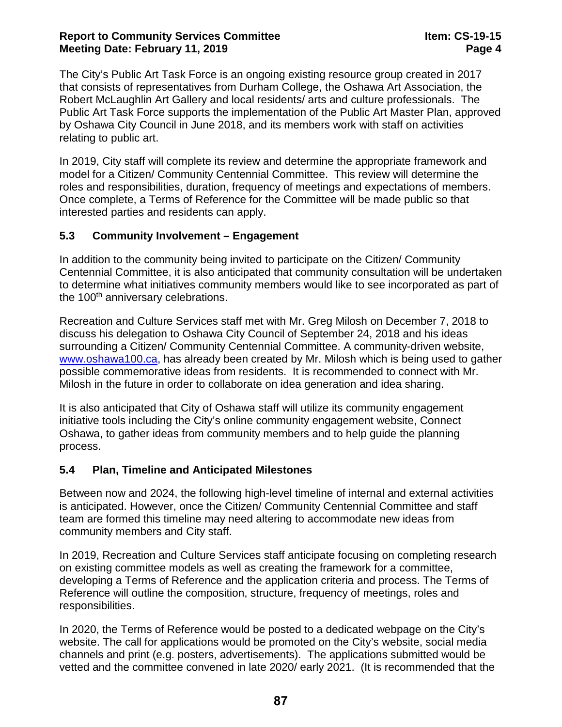#### **Report to Community Services Committee Item: CS-19-15 Meeting Date: February 11, 2019 Page 4**

The City's Public Art Task Force is an ongoing existing resource group created in 2017 that consists of representatives from Durham College, the Oshawa Art Association, the Robert McLaughlin Art Gallery and local residents/ arts and culture professionals. The Public Art Task Force supports the implementation of the Public Art Master Plan, approved by Oshawa City Council in June 2018, and its members work with staff on activities relating to public art.

In 2019, City staff will complete its review and determine the appropriate framework and model for a Citizen/ Community Centennial Committee. This review will determine the roles and responsibilities, duration, frequency of meetings and expectations of members. Once complete, a Terms of Reference for the Committee will be made public so that interested parties and residents can apply.

#### **5.3 Community Involvement – Engagement**

In addition to the community being invited to participate on the Citizen/ Community Centennial Committee, it is also anticipated that community consultation will be undertaken to determine what initiatives community members would like to see incorporated as part of the 100<sup>th</sup> anniversary celebrations.

Recreation and Culture Services staff met with Mr. Greg Milosh on December 7, 2018 to discuss his delegation to Oshawa City Council of September 24, 2018 and his ideas surrounding a Citizen/ Community Centennial Committee. A community-driven website, [www.oshawa100.ca,](http://www.oshawa100.ca/) has already been created by Mr. Milosh which is being used to gather possible commemorative ideas from residents. It is recommended to connect with Mr. Milosh in the future in order to collaborate on idea generation and idea sharing.

It is also anticipated that City of Oshawa staff will utilize its community engagement initiative tools including the City's online community engagement website, Connect Oshawa, to gather ideas from community members and to help guide the planning process.

#### **5.4 Plan, Timeline and Anticipated Milestones**

Between now and 2024, the following high-level timeline of internal and external activities is anticipated. However, once the Citizen/ Community Centennial Committee and staff team are formed this timeline may need altering to accommodate new ideas from community members and City staff.

In 2019, Recreation and Culture Services staff anticipate focusing on completing research on existing committee models as well as creating the framework for a committee, developing a Terms of Reference and the application criteria and process. The Terms of Reference will outline the composition, structure, frequency of meetings, roles and responsibilities.

In 2020, the Terms of Reference would be posted to a dedicated webpage on the City's website. The call for applications would be promoted on the City's website, social media channels and print (e.g. posters, advertisements). The applications submitted would be vetted and the committee convened in late 2020/ early 2021. (It is recommended that the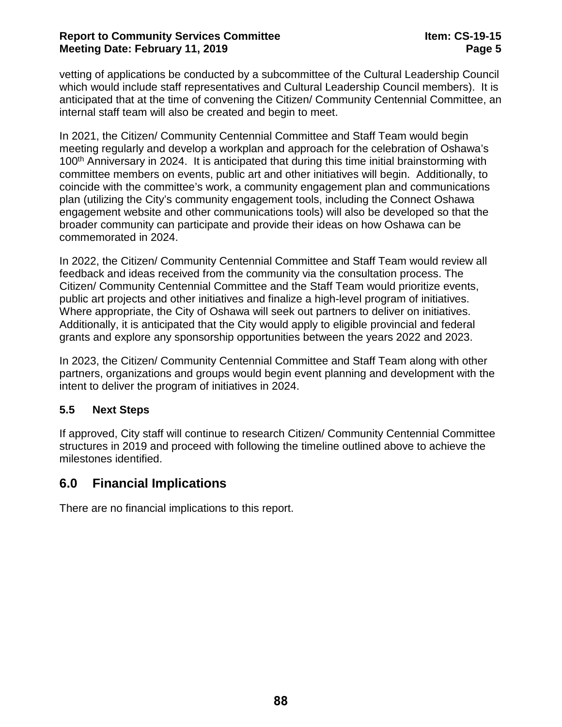#### **Report to Community Services Committee Item: CS-19-15 Meeting Date: February 11, 2019 Page 5**

vetting of applications be conducted by a subcommittee of the Cultural Leadership Council which would include staff representatives and Cultural Leadership Council members). It is anticipated that at the time of convening the Citizen/ Community Centennial Committee, an internal staff team will also be created and begin to meet.

In 2021, the Citizen/ Community Centennial Committee and Staff Team would begin meeting regularly and develop a workplan and approach for the celebration of Oshawa's 100<sup>th</sup> Anniversary in 2024. It is anticipated that during this time initial brainstorming with committee members on events, public art and other initiatives will begin. Additionally, to coincide with the committee's work, a community engagement plan and communications plan (utilizing the City's community engagement tools, including the Connect Oshawa engagement website and other communications tools) will also be developed so that the broader community can participate and provide their ideas on how Oshawa can be commemorated in 2024.

In 2022, the Citizen/ Community Centennial Committee and Staff Team would review all feedback and ideas received from the community via the consultation process. The Citizen/ Community Centennial Committee and the Staff Team would prioritize events, public art projects and other initiatives and finalize a high-level program of initiatives. Where appropriate, the City of Oshawa will seek out partners to deliver on initiatives. Additionally, it is anticipated that the City would apply to eligible provincial and federal grants and explore any sponsorship opportunities between the years 2022 and 2023.

In 2023, the Citizen/ Community Centennial Committee and Staff Team along with other partners, organizations and groups would begin event planning and development with the intent to deliver the program of initiatives in 2024.

#### **5.5 Next Steps**

If approved, City staff will continue to research Citizen/ Community Centennial Committee structures in 2019 and proceed with following the timeline outlined above to achieve the milestones identified.

## **6.0 Financial Implications**

There are no financial implications to this report.